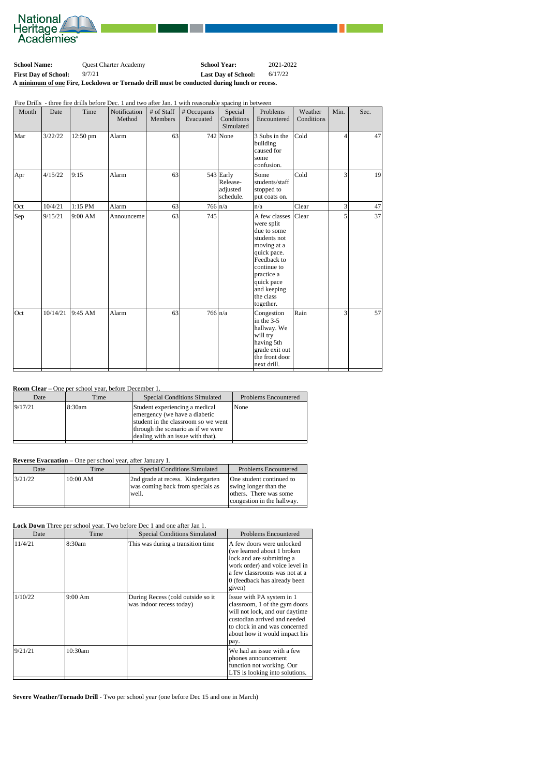

| <b>School Name:</b>                                                                        | <b>Ouest Charter Academy</b> | <b>School Year:</b>        | 2021-2022 |  |
|--------------------------------------------------------------------------------------------|------------------------------|----------------------------|-----------|--|
| <b>First Day of School:</b>                                                                | 9/7/21                       | <b>Last Day of School:</b> | 6/17/22   |  |
| A minimum of one Fire, Lockdown or Tornado drill must be conducted during lunch or recess. |                              |                            |           |  |

Fire Drills - three fire drills before Dec. 1 and two after Jan. 1 with reasonable spacing in between

| Month | Date     | Time     | Notification<br>Method | # of Staff<br>Members | # Occupants<br>Evacuated | Special<br>Conditions<br>Simulated               | Problems<br>Encountered                                                                                                                                                                     | Weather<br>Conditions | Min. | Sec. |
|-------|----------|----------|------------------------|-----------------------|--------------------------|--------------------------------------------------|---------------------------------------------------------------------------------------------------------------------------------------------------------------------------------------------|-----------------------|------|------|
| Mar   | 3/22/22  | 12:50 pm | Alarm                  | 63                    |                          | $742$ None                                       | 3 Subs in the<br>building<br>caused for<br>some<br>confusion.                                                                                                                               | Cold                  | 4    | 47   |
| Apr   | 4/15/22  | 9:15     | Alarm                  | 63                    |                          | $543$ Early<br>Release-<br>adjusted<br>schedule. | Some<br>students/staff<br>stopped to<br>put coats on.                                                                                                                                       | Cold                  | 3    | 19   |
| Oct   | 10/4/21  | 1:15 PM  | Alarm                  | 63                    |                          | $766 \vert n/a$                                  | n/a                                                                                                                                                                                         | Clear                 | 3    | 47   |
| Sep   | 9/15/21  | 9:00 AM  | Announceme             | 63                    | 745                      |                                                  | A few classes<br>were split<br>due to some<br>students not<br>moving at a<br>quick pace.<br>Feedback to<br>continue to<br>practice a<br>quick pace<br>and keeping<br>the class<br>together. | Clear                 | 5    | 37   |
| Oct   | 10/14/21 | 9:45 AM  | Alarm                  | 63                    | $766 \ln/a$              |                                                  | Congestion<br>in the 3-5<br>hallway. We<br>will try<br>having 5th<br>grade exit out<br>the front door<br>next drill.                                                                        | Rain                  | 3    | 57   |

## **Room Clear** – One per school year, before December 1.

| 9/17/21<br>Student experiencing a medical<br>18:30am<br>None<br>emergency (we have a diabetic<br>student in the classroom so we went<br>through the scenario as if we were | Date | Time | <b>Special Conditions Simulated</b> | <b>Problems Encountered</b> |
|----------------------------------------------------------------------------------------------------------------------------------------------------------------------------|------|------|-------------------------------------|-----------------------------|
|                                                                                                                                                                            |      |      | dealing with an issue with that).   |                             |

## **Reverse Evacuation** – One per school year, after January 1.

| Date    | Time       | <b>Special Conditions Simulated</b>                                            | <b>Problems Encountered</b>                                                                               |
|---------|------------|--------------------------------------------------------------------------------|-----------------------------------------------------------------------------------------------------------|
| 3/21/22 | $10:00$ AM | 2nd grade at recess. Kindergarten<br>was coming back from specials as<br>well. | One student continued to<br>swing longer than the<br>others. There was some<br>congestion in the hallway. |

## **Lock Down** Three per school year. Two before Dec 1 and one after Jan 1.

| Date    | Time              | <b>Special Conditions Simulated</b>                           | <b>Problems Encountered</b>                                                                                                                                                                            |
|---------|-------------------|---------------------------------------------------------------|--------------------------------------------------------------------------------------------------------------------------------------------------------------------------------------------------------|
| 11/4/21 | 8:30am            | This was during a transition time                             | A few doors were unlocked<br>(we learned about 1 broken)<br>lock and are submitting a<br>work order) and voice level in<br>a few classrooms was not at a<br>0 (feedback has already been<br>given)     |
| 1/10/22 | $9:00 \text{ Am}$ | During Recess (cold outside so it<br>was indoor recess today) | Issue with PA system in 1<br>classroom, 1 of the gym doors<br>will not lock, and our daytime<br>custodian arrived and needed<br>to clock in and was concerned<br>about how it would impact his<br>pay. |
| 9/21/21 | 10:30am           |                                                               | We had an issue with a few<br>phones announcement<br>function not working. Our<br>LTS is looking into solutions.                                                                                       |

**Severe Weather/Tornado Drill** - Two per school year (one before Dec 15 and one in March)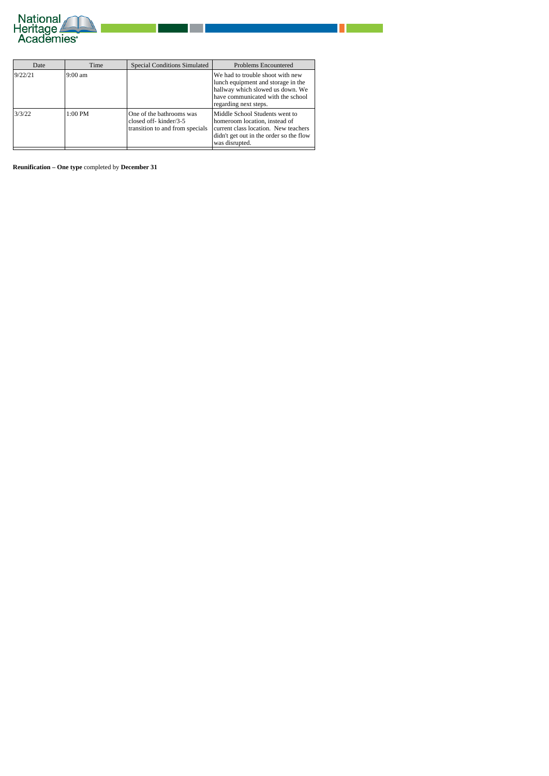

| Date    | Time    | <b>Special Conditions Simulated</b>                                                     | <b>Problems Encountered</b>                                                                                                                                              |
|---------|---------|-----------------------------------------------------------------------------------------|--------------------------------------------------------------------------------------------------------------------------------------------------------------------------|
| 9/22/21 | 9:00 am |                                                                                         | We had to trouble shoot with new<br>lunch equipment and storage in the<br>hallway which slowed us down. We<br>have communicated with the school<br>regarding next steps. |
| 3/3/22  | 1:00 PM | One of the bathrooms was<br>closed off- $kinder/3-5$<br>transition to and from specials | Middle School Students went to<br>homeroom location, instead of<br>current class location. New teachers<br>didn't get out in the order so the flow<br>was disrupted.     |

**Reunification – One type** completed by **December 31**